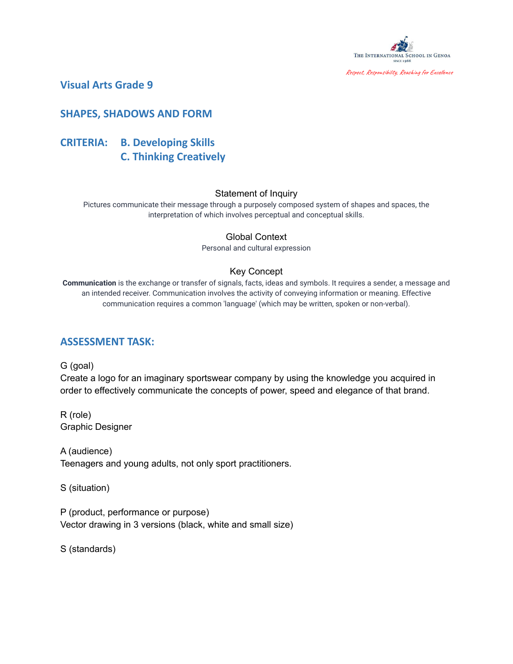

Respect, Responsibility, Reaching for Excellence

**Visual Arts Grade 9**

**SHAPES, SHADOWS AND FORM**

**CRITERIA: B. Developing Skills C. Thinking Creatively**

### Statement of Inquiry

Pictures communicate their message through a purposely composed system of shapes and spaces, the interpretation of which involves perceptual and conceptual skills.

### Global Context

Personal and cultural expression

# Key Concept

**Communication** is the exchange or transfer of signals, facts, ideas and symbols. It requires a sender, a message and an intended receiver. Communication involves the activity of conveying information or meaning. Effective communication requires a common 'language' (which may be written, spoken or non-verbal).

### **ASSESSMENT TASK:**

G (goal)

Create a logo for an imaginary sportswear company by using the knowledge you acquired in order to effectively communicate the concepts of power, speed and elegance of that brand.

R (role) Graphic Designer

A (audience) Teenagers and young adults, not only sport practitioners.

S (situation)

P (product, performance or purpose) Vector drawing in 3 versions (black, white and small size)

S (standards)